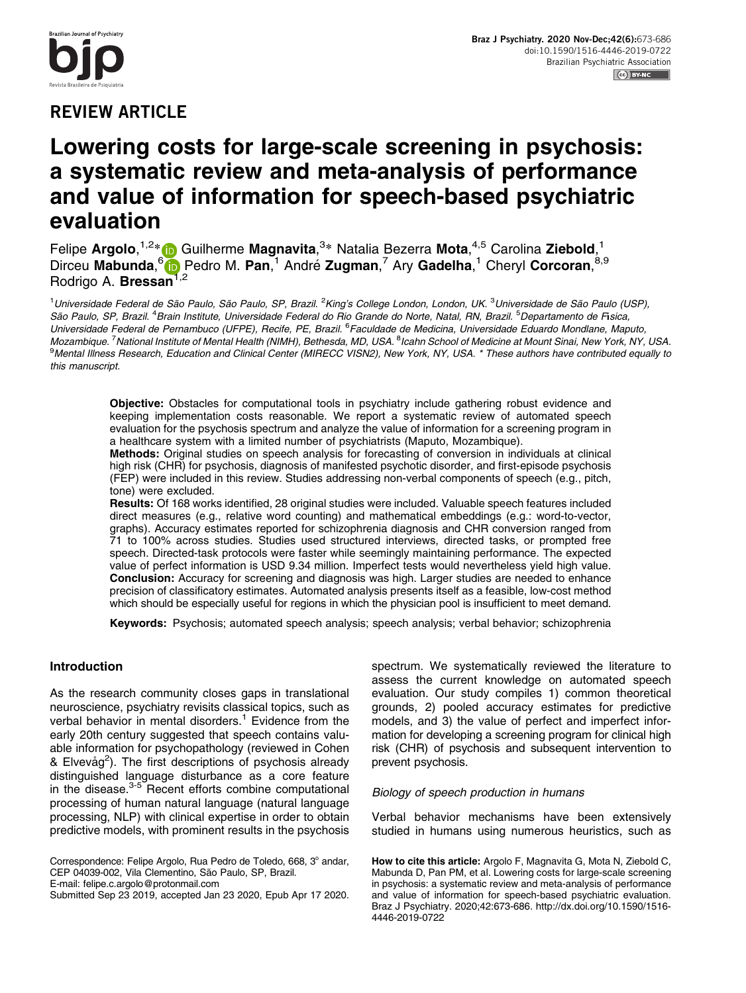# **REVIEW ARTICLE**

# Lowering costs for large-scale screening in psychosis: a systematic review and meta-analysis of performance and value of information for speech-based psychiatric evaluation

Felipe Argolo,<sup>1,2</sup>\* in Guilherme Magnavita,<sup>3</sup>\* Natalia Bezerra Mota,<sup>4,5</sup> Carolina Ziebold,<sup>1</sup> Dirceu Mabunda,<sup>6</sup>ib Pedro M. Pan,<sup>1</sup> André Zugman,<sup>7</sup> Ary Gadelha,<sup>1</sup> Cheryl Corcoran,<sup>8,9</sup> Rodrigo A. Bressan<sup>1,2</sup>

<sup>1</sup>Universidade Federal de São Paulo, São Paulo, SP, Brazil. <sup>2</sup>King's College London, London, UK. <sup>3</sup>Universidade de São Paulo (USP), São Paulo, SP, Brazil. <sup>4</sup>Brain Institute, Universidade Federal do Rio Grande do Norte, Natal, RN, Brazil. <sup>5</sup>Departamento de Fisica, Universidade Federal de Pernambuco (UFPE), Recife, PE, Brazil. <sup>6</sup>Faculdade de Medicina, Universidade Eduardo Mondlane, Maputo, Mozambique. <sup>7</sup> National Institute of Mental Health (NIMH), Bethesda, MD, USA. <sup>8</sup>Icahn School of Medicine at Mount Sinai, New York, NY, USA. <sup>9</sup>Mental Illness Research, Education and Clinical Center (MIRECC VISN2), New York, NY, USA. \* These authors have contributed equally to this manuscript.

Objective: Obstacles for computational tools in psychiatry include gathering robust evidence and keeping implementation costs reasonable. We report a systematic review of automated speech evaluation for the psychosis spectrum and analyze the value of information for a screening program in a healthcare system with a limited number of psychiatrists (Maputo, Mozambique).

Methods: Original studies on speech analysis for forecasting of conversion in individuals at clinical high risk (CHR) for psychosis, diagnosis of manifested psychotic disorder, and first-episode psychosis (FEP) were included in this review. Studies addressing non-verbal components of speech (e.g., pitch, tone) were excluded.

Results: Of 168 works identified, 28 original studies were included. Valuable speech features included direct measures (e.g., relative word counting) and mathematical embeddings (e.g.: word-to-vector, graphs). Accuracy estimates reported for schizophrenia diagnosis and CHR conversion ranged from 71 to 100% across studies. Studies used structured interviews, directed tasks, or prompted free speech. Directed-task protocols were faster while seemingly maintaining performance. The expected value of perfect information is USD 9.34 million. Imperfect tests would nevertheless yield high value. Conclusion: Accuracy for screening and diagnosis was high. Larger studies are needed to enhance precision of classificatory estimates. Automated analysis presents itself as a feasible, low-cost method which should be especially useful for regions in which the physician pool is insufficient to meet demand.

Keywords: Psychosis; automated speech analysis; speech analysis; verbal behavior; schizophrenia

# Introduction

As the research community closes gaps in translational neuroscience, psychiatry revisits classical topics, such as verbal behavior in mental disorders.<sup>1</sup> Evidence from the early 20th century suggested that speech contains valuable information for psychopathology (reviewed in Cohen & Elvevåg<sup>2</sup>). The first descriptions of psychosis already distinguished language disturbance as a core feature in the disease.<sup>[3-5](#page-12-0)</sup> Recent efforts combine computational processing of human natural language (natural language processing, NLP) with clinical expertise in order to obtain predictive models, with prominent results in the psychosis

Submitted Sep 23 2019, accepted Jan 23 2020, Epub Apr 17 2020.

spectrum. We systematically reviewed the literature to assess the current knowledge on automated speech evaluation. Our study compiles 1) common theoretical grounds, 2) pooled accuracy estimates for predictive models, and 3) the value of perfect and imperfect information for developing a screening program for clinical high risk (CHR) of psychosis and subsequent intervention to prevent psychosis.

#### Biology of speech production in humans

Verbal behavior mechanisms have been extensively studied in humans using numerous heuristics, such as

Correspondence: Felipe Argolo, Rua Pedro de Toledo, 668, 3° andar, CEP 04039-002, Vila Clementino, São Paulo, SP, Brazil. E-mail: [felipe.c.argolo@protonmail.com](mailto:felipe.c.argolo@protonmail.com)

How to cite this article: Argolo F, Magnavita G, Mota N, Ziebold C, Mabunda D, Pan PM, et al. Lowering costs for large-scale screening in psychosis: a systematic review and meta-analysis of performance and value of information for speech-based psychiatric evaluation. Braz J Psychiatry. 2020;42:673-686. [http://dx.doi.org/10.1590/1516-](http://dx.doi.org/10.1590/1516-4446-2019-0722) [4446-2019-0722](http://dx.doi.org/10.1590/1516-4446-2019-0722)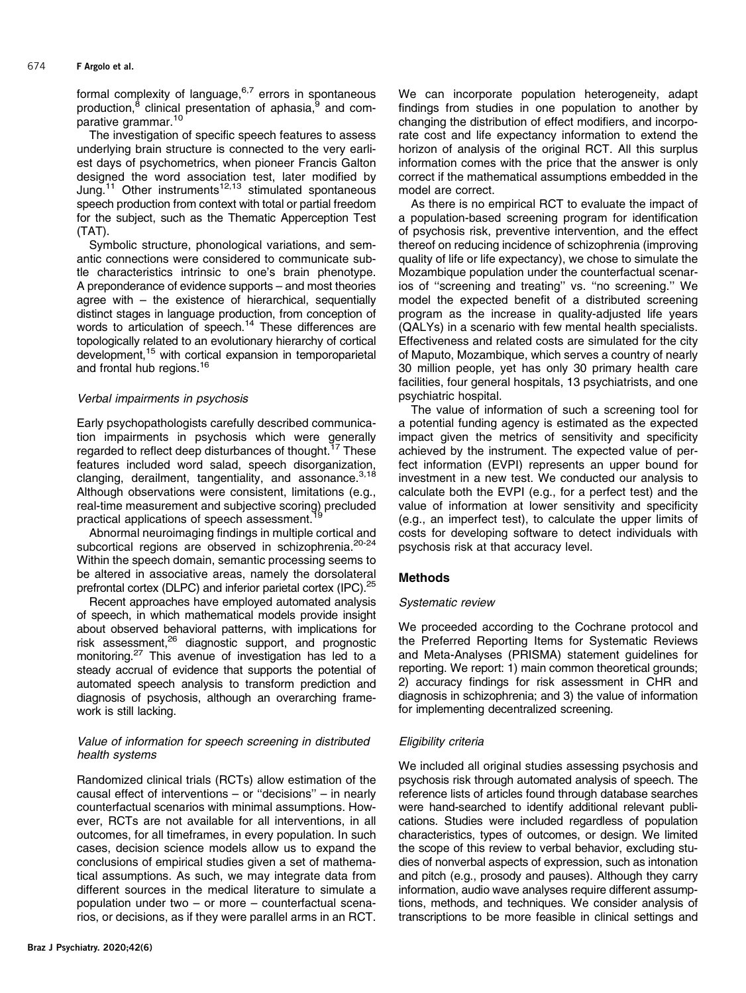formal complexity of language, $6,7$  errors in spontaneous production, $^8$  $^8$  clinical presentation of aphasia, $^9$  $^9$  and com-parative grammar.<sup>[10](#page-12-0)</sup>

The investigation of specific speech features to assess underlying brain structure is connected to the very earliest days of psychometrics, when pioneer Francis Galton designed the word association test, later modified by Jung.<sup>11</sup> Other instruments<sup>[12,13](#page-12-0)</sup> stimulated spontaneous speech production from context with total or partial freedom for the subject, such as the Thematic Apperception Test (TAT).

Symbolic structure, phonological variations, and semantic connections were considered to communicate subtle characteristics intrinsic to one's brain phenotype. A preponderance of evidence supports – and most theories agree with – the existence of hierarchical, sequentially distinct stages in language production, from conception of words to articulation of speech.<sup>14</sup> These differences are topologically related to an evolutionary hierarchy of cortical development,<sup>15</sup> with cortical expansion in temporoparietal and frontal hub regions.<sup>16</sup>

# Verbal impairments in psychosis

Early psychopathologists carefully described communication impairments in psychosis which were generally regarded to reflect deep disturbances of thought.<sup>[17](#page-12-0)</sup> These features included word salad, speech disorganization, clanging, derailment, tangentiality, and assonance.  $3,18$ Although observations were consistent, limitations (e.g., real-time measurement and subjective scoring) precluded practical applications of speech assessment.<sup>1</sup>

Abnormal neuroimaging findings in multiple cortical and subcortical regions are observed in schizophrenia.<sup>[20](#page-12-0)-[24](#page-12-0)</sup> Within the speech domain, semantic processing seems to be altered in associative areas, namely the dorsolateral prefrontal cortex (DLPC) and inferior parietal cortex (IPC).<sup>[25](#page-12-0)</sup>

Recent approaches have employed automated analysis of speech, in which mathematical models provide insight about observed behavioral patterns, with implications for risk assessment,<sup>26</sup> diagnostic support, and prognostic monitoring.<sup>[27](#page-12-0)</sup> This avenue of investigation has led to a steady accrual of evidence that supports the potential of automated speech analysis to transform prediction and diagnosis of psychosis, although an overarching framework is still lacking.

# Value of information for speech screening in distributed health systems

Randomized clinical trials (RCTs) allow estimation of the causal effect of interventions – or ''decisions'' – in nearly counterfactual scenarios with minimal assumptions. However, RCTs are not available for all interventions, in all outcomes, for all timeframes, in every population. In such cases, decision science models allow us to expand the conclusions of empirical studies given a set of mathematical assumptions. As such, we may integrate data from different sources in the medical literature to simulate a population under two – or more – counterfactual scenarios, or decisions, as if they were parallel arms in an RCT. We can incorporate population heterogeneity, adapt findings from studies in one population to another by changing the distribution of effect modifiers, and incorporate cost and life expectancy information to extend the horizon of analysis of the original RCT. All this surplus information comes with the price that the answer is only correct if the mathematical assumptions embedded in the model are correct.

As there is no empirical RCT to evaluate the impact of a population-based screening program for identification of psychosis risk, preventive intervention, and the effect thereof on reducing incidence of schizophrenia (improving quality of life or life expectancy), we chose to simulate the Mozambique population under the counterfactual scenarios of ''screening and treating'' vs. ''no screening.'' We model the expected benefit of a distributed screening program as the increase in quality-adjusted life years (QALYs) in a scenario with few mental health specialists. Effectiveness and related costs are simulated for the city of Maputo, Mozambique, which serves a country of nearly 30 million people, yet has only 30 primary health care facilities, four general hospitals, 13 psychiatrists, and one psychiatric hospital.

The value of information of such a screening tool for a potential funding agency is estimated as the expected impact given the metrics of sensitivity and specificity achieved by the instrument. The expected value of perfect information (EVPI) represents an upper bound for investment in a new test. We conducted our analysis to calculate both the EVPI (e.g., for a perfect test) and the value of information at lower sensitivity and specificity (e.g., an imperfect test), to calculate the upper limits of costs for developing software to detect individuals with psychosis risk at that accuracy level.

# Methods

# Systematic review

We proceeded according to the Cochrane protocol and the Preferred Reporting Items for Systematic Reviews and Meta-Analyses (PRISMA) statement guidelines for reporting. We report: 1) main common theoretical grounds; 2) accuracy findings for risk assessment in CHR and diagnosis in schizophrenia; and 3) the value of information for implementing decentralized screening.

# Eligibility criteria

We included all original studies assessing psychosis and psychosis risk through automated analysis of speech. The reference lists of articles found through database searches were hand-searched to identify additional relevant publications. Studies were included regardless of population characteristics, types of outcomes, or design. We limited the scope of this review to verbal behavior, excluding studies of nonverbal aspects of expression, such as intonation and pitch (e.g., prosody and pauses). Although they carry information, audio wave analyses require different assumptions, methods, and techniques. We consider analysis of transcriptions to be more feasible in clinical settings and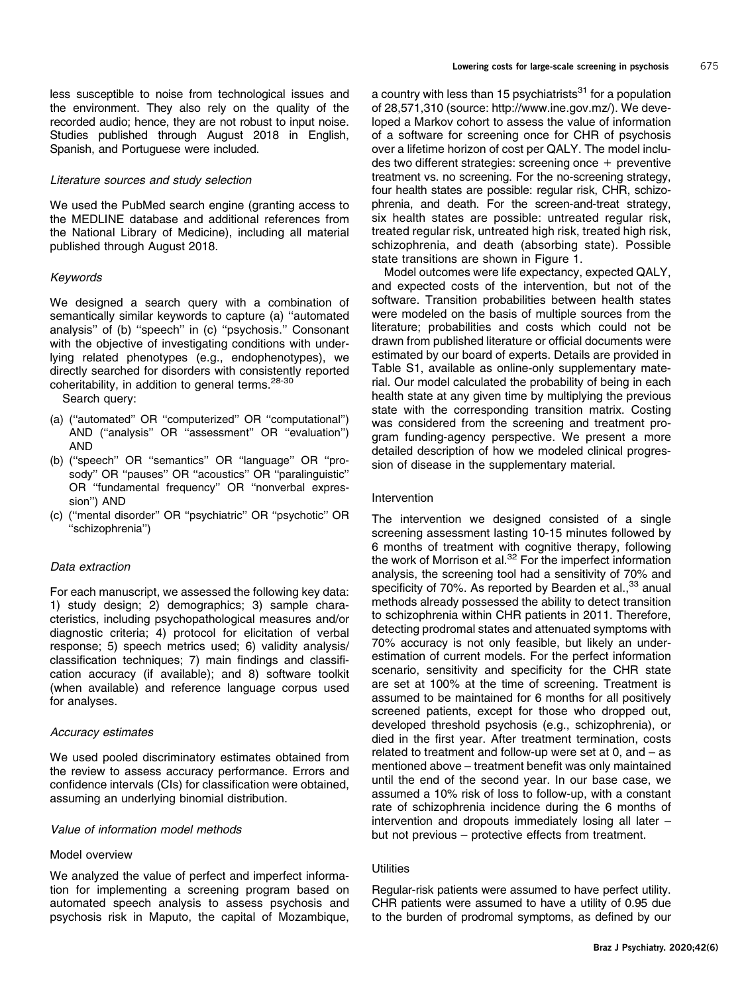less susceptible to noise from technological issues and the environment. They also rely on the quality of the recorded audio; hence, they are not robust to input noise. Studies published through August 2018 in English, Spanish, and Portuguese were included.

#### Literature sources and study selection

We used the PubMed search engine (granting access to the MEDLINE database and additional references from the National Library of Medicine), including all material published through August 2018.

#### Keywords

We designed a search query with a combination of semantically similar keywords to capture (a) ''automated analysis'' of (b) ''speech'' in (c) ''psychosis.'' Consonant with the objective of investigating conditions with underlying related phenotypes (e.g., endophenotypes), we directly searched for disorders with consistently reported coheritability, in addition to general terms.<sup>28-[30](#page-12-0)</sup>

Search query:

- (a) (''automated'' OR ''computerized'' OR ''computational'') AND (''analysis'' OR ''assessment'' OR ''evaluation'') AND
- (b) (''speech'' OR ''semantics'' OR ''language'' OR ''prosody'' OR ''pauses'' OR ''acoustics'' OR ''paralinguistic'' OR ''fundamental frequency'' OR ''nonverbal expression'') AND
- (c) (''mental disorder'' OR ''psychiatric'' OR ''psychotic'' OR ''schizophrenia'')

#### Data extraction

For each manuscript, we assessed the following key data: 1) study design; 2) demographics; 3) sample characteristics, including psychopathological measures and/or diagnostic criteria; 4) protocol for elicitation of verbal response; 5) speech metrics used; 6) validity analysis/ classification techniques; 7) main findings and classification accuracy (if available); and 8) software toolkit (when available) and reference language corpus used for analyses.

#### Accuracy estimates

We used pooled discriminatory estimates obtained from the review to assess accuracy performance. Errors and confidence intervals (CIs) for classification were obtained, assuming an underlying binomial distribution.

#### Value of information model methods

# Model overview

We analyzed the value of perfect and imperfect information for implementing a screening program based on automated speech analysis to assess psychosis and psychosis risk in Maputo, the capital of Mozambique,

a country with less than 15 psychiatrists $31$  for a population of 28,571,310 (source: [http://www.ine.gov.mz/\)](http://www.ine.gov.mz/). We developed a Markov cohort to assess the value of information of a software for screening once for CHR of psychosis over a lifetime horizon of cost per QALY. The model includes two different strategies: screening once + preventive treatment vs. no screening. For the no-screening strategy, four health states are possible: regular risk, CHR, schizophrenia, and death. For the screen-and-treat strategy, six health states are possible: untreated regular risk, treated regular risk, untreated high risk, treated high risk, schizophrenia, and death (absorbing state). Possible state transitions are shown in [Figure 1.](#page-3-0)

Model outcomes were life expectancy, expected QALY, and expected costs of the intervention, but not of the software. Transition probabilities between health states were modeled on the basis of multiple sources from the literature; probabilities and costs which could not be drawn from published literature or official documents were estimated by our board of experts. Details are provided in Table S1, available as online-only supplementary material. Our model calculated the probability of being in each health state at any given time by multiplying the previous state with the corresponding transition matrix. Costing was considered from the screening and treatment program funding-agency perspective. We present a more detailed description of how we modeled clinical progression of disease in the supplementary material.

#### Intervention

The intervention we designed consisted of a single screening assessment lasting 10-15 minutes followed by 6 months of treatment with cognitive therapy, following the work of Morrison et al. $32$  For the imperfect information analysis, the screening tool had a sensitivity of 70% and specificity of 70%. As reported by Bearden et al., $33$  anual methods already possessed the ability to detect transition to schizophrenia within CHR patients in 2011. Therefore, detecting prodromal states and attenuated symptoms with 70% accuracy is not only feasible, but likely an underestimation of current models. For the perfect information scenario, sensitivity and specificity for the CHR state are set at 100% at the time of screening. Treatment is assumed to be maintained for 6 months for all positively screened patients, except for those who dropped out, developed threshold psychosis (e.g., schizophrenia), or died in the first year. After treatment termination, costs related to treatment and follow-up were set at 0, and – as mentioned above – treatment benefit was only maintained until the end of the second year. In our base case, we assumed a 10% risk of loss to follow-up, with a constant rate of schizophrenia incidence during the 6 months of intervention and dropouts immediately losing all later – but not previous – protective effects from treatment.

#### **Utilities**

Regular-risk patients were assumed to have perfect utility. CHR patients were assumed to have a utility of 0.95 due to the burden of prodromal symptoms, as defined by our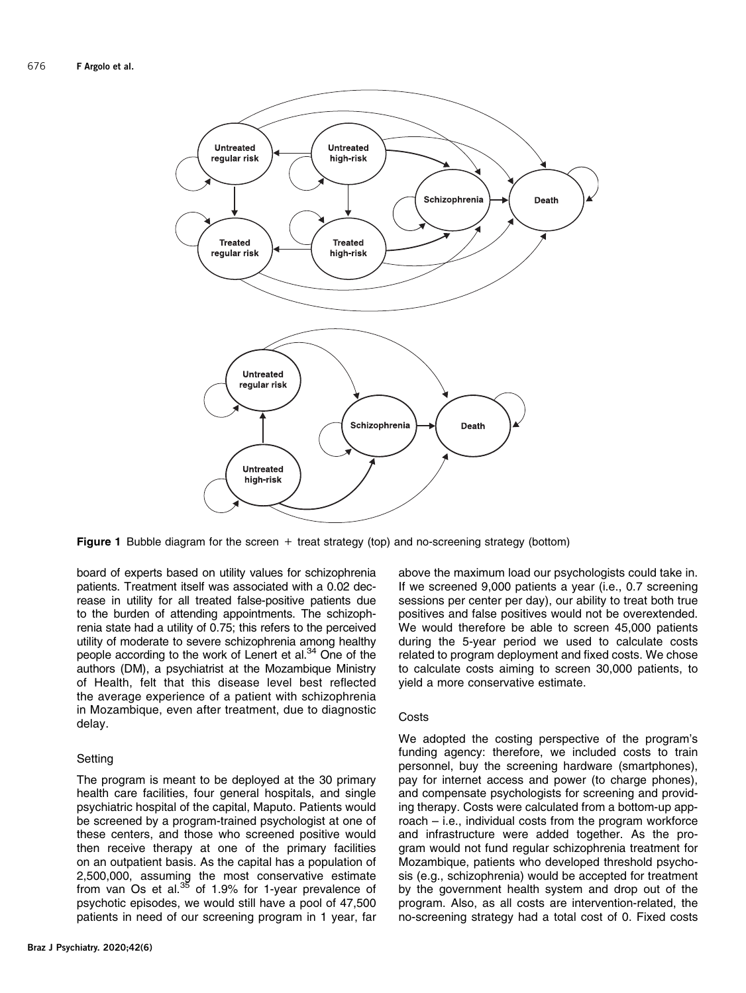<span id="page-3-0"></span>

Figure 1 Bubble diagram for the screen  $+$  treat strategy (top) and no-screening strategy (bottom)

board of experts based on utility values for schizophrenia patients. Treatment itself was associated with a 0.02 decrease in utility for all treated false-positive patients due to the burden of attending appointments. The schizophrenia state had a utility of 0.75; this refers to the perceived utility of moderate to severe schizophrenia among healthy people according to the work of Lenert et al.<sup>34</sup> One of the authors (DM), a psychiatrist at the Mozambique Ministry of Health, felt that this disease level best reflected the average experience of a patient with schizophrenia in Mozambique, even after treatment, due to diagnostic delay.

# **Setting**

The program is meant to be deployed at the 30 primary health care facilities, four general hospitals, and single psychiatric hospital of the capital, Maputo. Patients would be screened by a program-trained psychologist at one of these centers, and those who screened positive would then receive therapy at one of the primary facilities on an outpatient basis. As the capital has a population of 2,500,000, assuming the most conservative estimate from van Os et al. $35$  of 1.9% for 1-year prevalence of psychotic episodes, we would still have a pool of 47,500 patients in need of our screening program in 1 year, far above the maximum load our psychologists could take in. If we screened 9,000 patients a year (i.e., 0.7 screening sessions per center per day), our ability to treat both true positives and false positives would not be overextended. We would therefore be able to screen 45,000 patients during the 5-year period we used to calculate costs related to program deployment and fixed costs. We chose to calculate costs aiming to screen 30,000 patients, to yield a more conservative estimate.

#### **Costs**

We adopted the costing perspective of the program's funding agency: therefore, we included costs to train personnel, buy the screening hardware (smartphones), pay for internet access and power (to charge phones), and compensate psychologists for screening and providing therapy. Costs were calculated from a bottom-up approach – i.e., individual costs from the program workforce and infrastructure were added together. As the program would not fund regular schizophrenia treatment for Mozambique, patients who developed threshold psychosis (e.g., schizophrenia) would be accepted for treatment by the government health system and drop out of the program. Also, as all costs are intervention-related, the no-screening strategy had a total cost of 0. Fixed costs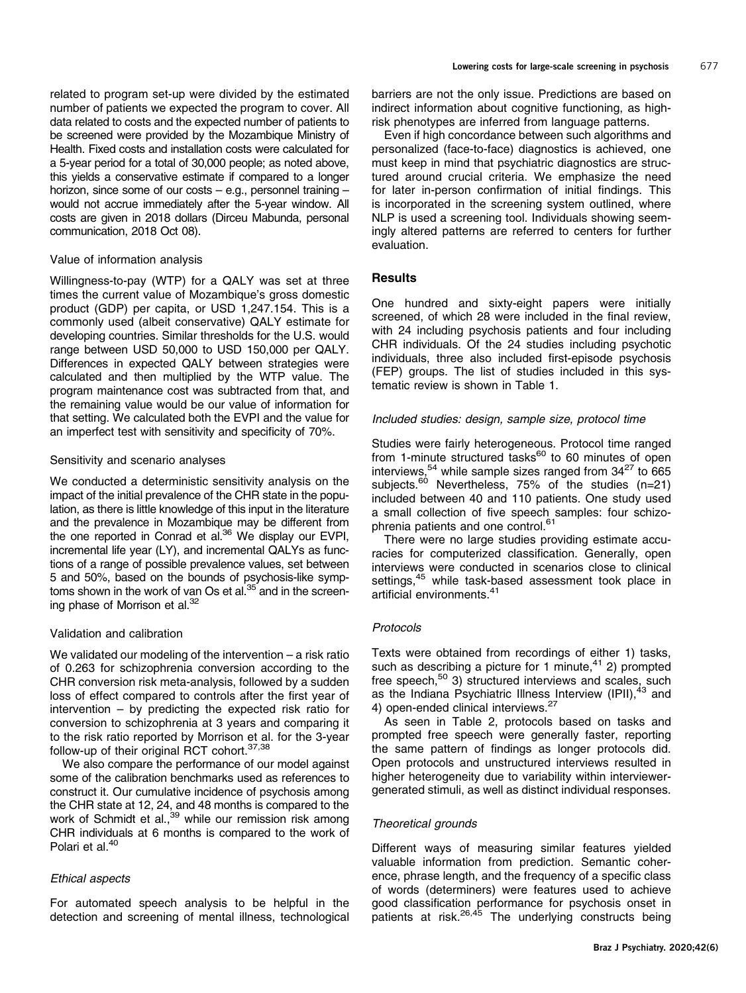related to program set-up were divided by the estimated number of patients we expected the program to cover. All data related to costs and the expected number of patients to be screened were provided by the Mozambique Ministry of Health. Fixed costs and installation costs were calculated for a 5-year period for a total of 30,000 people; as noted above, this yields a conservative estimate if compared to a longer horizon, since some of our costs – e.g., personnel training – would not accrue immediately after the 5-year window. All costs are given in 2018 dollars (Dirceu Mabunda, personal communication, 2018 Oct 08).

#### Value of information analysis

Willingness-to-pay (WTP) for a QALY was set at three times the current value of Mozambique's gross domestic product (GDP) per capita, or USD 1,247.154. This is a commonly used (albeit conservative) QALY estimate for developing countries. Similar thresholds for the U.S. would range between USD 50,000 to USD 150,000 per QALY. Differences in expected QALY between strategies were calculated and then multiplied by the WTP value. The program maintenance cost was subtracted from that, and the remaining value would be our value of information for that setting. We calculated both the EVPI and the value for an imperfect test with sensitivity and specificity of 70%.

#### Sensitivity and scenario analyses

We conducted a deterministic sensitivity analysis on the impact of the initial prevalence of the CHR state in the population, as there is little knowledge of this input in the literature and the prevalence in Mozambique may be different from the one reported in Conrad et al.<sup>[36](#page-12-0)</sup> We display our EVPI, incremental life year (LY), and incremental QALYs as functions of a range of possible prevalence values, set between 5 and 50%, based on the bounds of psychosis-like symptoms shown in the work of van Os et al.<sup>35</sup> and in the screening phase of Morrison et al.<sup>32</sup>

#### Validation and calibration

We validated our modeling of the intervention – a risk ratio of 0.263 for schizophrenia conversion according to the CHR conversion risk meta-analysis, followed by a sudden loss of effect compared to controls after the first year of intervention – by predicting the expected risk ratio for conversion to schizophrenia at 3 years and comparing it to the risk ratio reported by Morrison et al. for the 3-year follow-up of their original RCT cohort.<sup>[37,38](#page-12-0)</sup>

We also compare the performance of our model against some of the calibration benchmarks used as references to construct it. Our cumulative incidence of psychosis among the CHR state at 12, 24, and 48 months is compared to the work of Schmidt et al.,<sup>[39](#page-12-0)</sup> while our remission risk among CHR individuals at 6 months is compared to the work of Polari et al.<sup>[40](#page-12-0)</sup>

# Ethical aspects

For automated speech analysis to be helpful in the detection and screening of mental illness, technological barriers are not the only issue. Predictions are based on indirect information about cognitive functioning, as highrisk phenotypes are inferred from language patterns.

Even if high concordance between such algorithms and personalized (face-to-face) diagnostics is achieved, one must keep in mind that psychiatric diagnostics are structured around crucial criteria. We emphasize the need for later in-person confirmation of initial findings. This is incorporated in the screening system outlined, where NLP is used a screening tool. Individuals showing seemingly altered patterns are referred to centers for further evaluation.

# **Results**

One hundred and sixty-eight papers were initially screened, of which 28 were included in the final review, with 24 including psychosis patients and four including CHR individuals. Of the 24 studies including psychotic individuals, three also included first-episode psychosis (FEP) groups. The list of studies included in this systematic review is shown in [Table 1.](#page-5-0)

#### Included studies: design, sample size, protocol time

Studies were fairly heterogeneous. Protocol time ranged from 1-minute structured tasks $^{60}$  to 60 minutes of open interviews,  $54$  while sample sizes ranged from  $34^{27}$  $34^{27}$  $34^{27}$  to 665 subjects.<sup>60</sup> Nevertheless, 75% of the studies (n=21) included between 40 and 110 patients. One study used a small collection of five speech samples: four schizo-phrenia patients and one control.<sup>[61](#page-13-0)</sup>

There were no large studies providing estimate accuracies for computerized classification. Generally, open interviews were conducted in scenarios close to clinical settings,<sup>45</sup> while task-based assessment took place in artificial environments.<sup>41</sup>

#### Protocols

Texts were obtained from recordings of either 1) tasks, such as describing a picture for 1 minute, $41$  2) prompted free speech, $50$  3) structured interviews and scales, such as the Indiana Psychiatric Illness Interview (IPII),<sup>[43](#page-12-0)</sup> and 4) open-ended clinical interviews.<sup>[27](#page-12-0)</sup>

As seen in [Table 2](#page-9-0), protocols based on tasks and prompted free speech were generally faster, reporting the same pattern of findings as longer protocols did. Open protocols and unstructured interviews resulted in higher heterogeneity due to variability within interviewergenerated stimuli, as well as distinct individual responses.

#### Theoretical grounds

Different ways of measuring similar features yielded valuable information from prediction. Semantic coherence, phrase length, and the frequency of a specific class of words (determiners) were features used to achieve good classification performance for psychosis onset in patients at risk.[26,45](#page-12-0) The underlying constructs being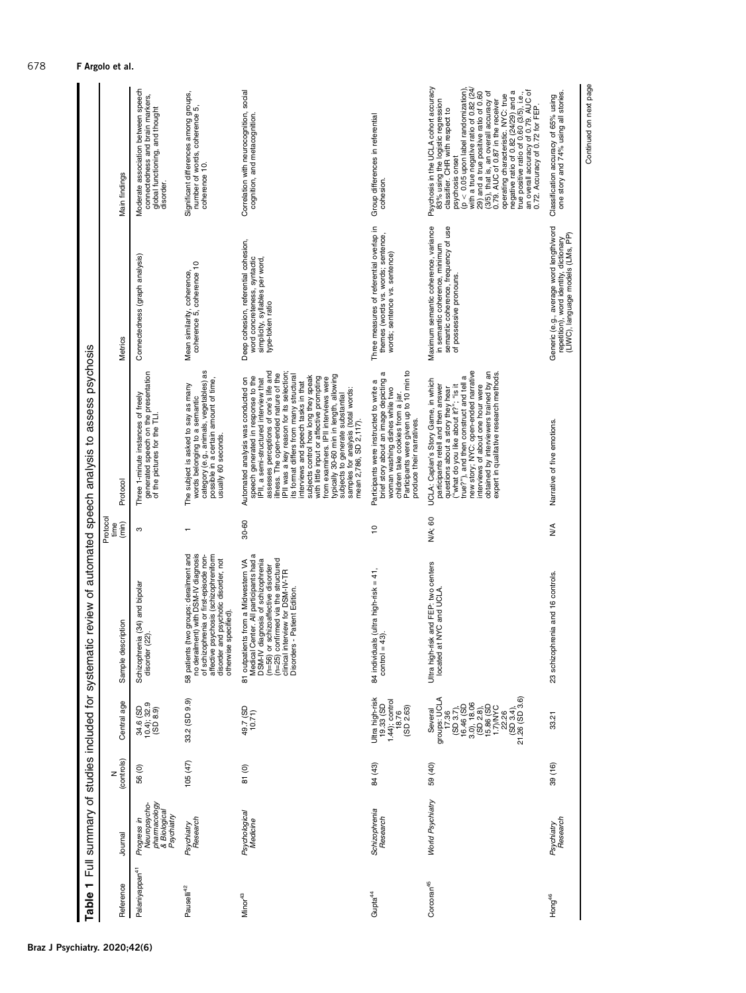<span id="page-5-0"></span>

| ٣<br>Table                 | Full summary of studies included for systemation                          |                 |                                                                      |                                                                                                                                                                                                                                                                     |                           | c review of automated speech analysis to assess psychosis                                                                                                                                                                                                                                                                                                                                                                                                                                                                                                                                                       |                                                                                                                                           |                                                                                                                                                                                                                                                                                                                                                                                                                                                                                                                                                   |
|----------------------------|---------------------------------------------------------------------------|-----------------|----------------------------------------------------------------------|---------------------------------------------------------------------------------------------------------------------------------------------------------------------------------------------------------------------------------------------------------------------|---------------------------|-----------------------------------------------------------------------------------------------------------------------------------------------------------------------------------------------------------------------------------------------------------------------------------------------------------------------------------------------------------------------------------------------------------------------------------------------------------------------------------------------------------------------------------------------------------------------------------------------------------------|-------------------------------------------------------------------------------------------------------------------------------------------|---------------------------------------------------------------------------------------------------------------------------------------------------------------------------------------------------------------------------------------------------------------------------------------------------------------------------------------------------------------------------------------------------------------------------------------------------------------------------------------------------------------------------------------------------|
| Reference                  | Journal                                                                   | (controls)<br>z | Central age                                                          | Sample description                                                                                                                                                                                                                                                  | Protocol<br>(min)<br>time | Protocol                                                                                                                                                                                                                                                                                                                                                                                                                                                                                                                                                                                                        | Metrics                                                                                                                                   | Main findings                                                                                                                                                                                                                                                                                                                                                                                                                                                                                                                                     |
| Palaniyappan <sup>41</sup> | pharmacology<br>& Biological<br>Neuropsycho-<br>Psychiatry<br>Progress in | 56 (0)          | 34.6 (SD<br>10.4); 32.9<br>(SD 8.9)                                  | Schizophrenia (34) and bipolar<br>disorder (22).                                                                                                                                                                                                                    | S                         | generated speech on the presentation<br>of the pictures for the TLI.<br>Three 1-minute instances of freely                                                                                                                                                                                                                                                                                                                                                                                                                                                                                                      | Connectedness (graph analysis)                                                                                                            | Moderate association between speech<br>connectedness and brain markers,<br>global functioning, and thought<br>disorder.                                                                                                                                                                                                                                                                                                                                                                                                                           |
| Pauselli <sup>42</sup>     | Research<br>Psychiatry                                                    | 105(47)         | 33.2 (SD 9.9)                                                        | 58 patients (two groups: derailment and<br>no derailment) with DSM-IV diagnosis<br>affective portenties of schi-episode non-<br>affective presents is schi-episode non-<br>disorder and psychotic disorder, not<br>otherwise specified).                            |                           | words belonging to a semantic<br>category (e.g., animals, vegetables) as<br>possible in a certain amount of time,<br>The subject is asked to say as many<br>usually 60 seconds.                                                                                                                                                                                                                                                                                                                                                                                                                                 | coherence 5, coherence 10<br>Mean similarity, coherence,                                                                                  | Significant differences among groups,<br>number of words, coherence 5,<br>coherence 10.                                                                                                                                                                                                                                                                                                                                                                                                                                                           |
| Minor <sup>43</sup>        | Psychological<br>Medicine                                                 | 81(0)           | 49.7 (SD<br>10.71                                                    | Medical Center. All participants had a<br>DSM-IV diagnosis of schizophrenia<br>(n=56) or schizoaffective disorder<br>(n=25) confirmed via the structured<br>81 outpatients from a Midwestern VA<br>clinical interview for DSM-IV-TR<br>Disorders - Patient Edition. | 30-60                     | assesses perceptions of one's life and<br>illness. The open-ended nature of the<br>IPII was a key reason for its selection<br>its format differs from many structural<br>typically 30-60 min in length, allowing<br>subjects control how long they speak<br>speech generated in response to the<br>with little input or affective prompting<br>IPII, a semi-structured interview that<br>from examiners. IPII interviews were<br>Automated analysis was conducted on<br>interviews and speech tasks in that<br>samples for analysis (total words:<br>mean 2,786, SD 2,117).<br>subjects to generate substantial | Deep cohesion, referential cohesion,<br>word concreteness, syntactic<br>simplicity, syllables per word,<br>type-token ratio               | Correlation with neurocognition, social<br>cognition, and metacognition.                                                                                                                                                                                                                                                                                                                                                                                                                                                                          |
| Gupta <sup>44</sup>        | Schizophrenia<br>Research                                                 | 84 (43)         | Ultra high-risk<br>19.33 (SD<br>1.44); control<br>18.76<br>(SD 2.63) | 84 individuals (ultra high-risk = 41,<br>control = 43).                                                                                                                                                                                                             | $\overline{c}$            | Participants were given up to 10 min to<br>σ<br>brief story about an image depicting<br>Participants were instructed to write a<br>woman washing dishes while two<br>children take cookies from a jar.<br>produce their narratives.                                                                                                                                                                                                                                                                                                                                                                             | Three measures of referential overlap in<br>themes (words vs. words; sentence,<br>words; sentence vs. sentence)                           | Group differences in referential<br>cohesion.                                                                                                                                                                                                                                                                                                                                                                                                                                                                                                     |
| Corcoran <sup>45</sup>     | World Psychiatry                                                          | 59 (40)         | Several                                                              | Ultra high-risk and FEP: two centers<br>located at NYC and UCLA.                                                                                                                                                                                                    | N/A; 60                   | new story; NYC: open-ended narrative<br>obtained by interviewers trained by an<br>expert in qualitative research methods.<br>σ<br>UCLA: Caplan's Story Game, in which<br>participants retell and then answer<br>true?"), and then construct and tell<br>questions about a story they hear<br>("what do you like about it?"; "is it<br>interviews of about one hour were                                                                                                                                                                                                                                         | Maximum semantic coherence, variance<br>semantic coherence, frequency of use<br>in semantic coherence, minimum<br>of possessive pronouns. | Psychosis in the UCLA cohort accuracy<br>with a true negative ratio of 0.82 (24)<br>$(p < 0.05$ upon label randomization)<br>an overall accuracy of 0.79. AUC of<br>0.72. Accuracy of 0.72 for FEP.<br>operating characteristic. NYC: true<br>negative ratio of 0.82 (24/29) and a<br>29) and a true positive ratio of 0.60<br>(3/5), that is, an overall accuracy of<br>0.79. AUC of 0.87 in the receiver<br>true positive ratio of 0.60 (3/5), i.e.,<br>83% using the logistic regression<br>classifier. CHR with respect to<br>psychosis onset |
| Hong <sup>46</sup>         | Psychiatry<br>Research                                                    | 39 (16)         | 33.21                                                                | renia and 16 controls.<br>23 schizophr                                                                                                                                                                                                                              | ≸                         | Narrative of five emotions.                                                                                                                                                                                                                                                                                                                                                                                                                                                                                                                                                                                     | Generic (e.g., average word length/word<br>repetition), word identity, dictionary<br>(LIWC), language models (LMs, PP)                    | Classification accuracy of 65% using<br>one story and 74% using all stories.                                                                                                                                                                                                                                                                                                                                                                                                                                                                      |
|                            |                                                                           |                 |                                                                      |                                                                                                                                                                                                                                                                     |                           |                                                                                                                                                                                                                                                                                                                                                                                                                                                                                                                                                                                                                 |                                                                                                                                           | Continued on next page                                                                                                                                                                                                                                                                                                                                                                                                                                                                                                                            |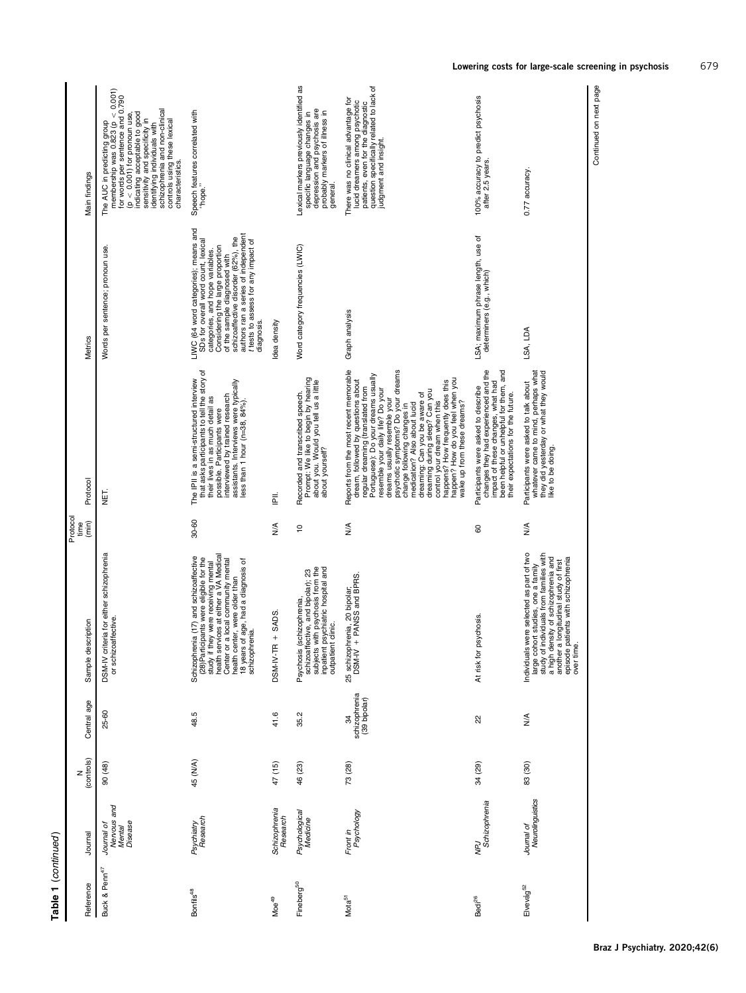| antinuc |  |
|---------|--|
| Ţ       |  |

| Reference                 | Journal                                        | (controls) | Central age                         | Sample description                                                                                                                                                                                                                                                                                  | Protocol<br>time<br>(min) | Protocol                                                                                                                                                                                                                                                                                                                                                                                                                                                                                                                                     | Metrics                                                                                                                                                                                                                                                                                                               | Main findings                                                                                                                                                                                                                                                                                                                             |
|---------------------------|------------------------------------------------|------------|-------------------------------------|-----------------------------------------------------------------------------------------------------------------------------------------------------------------------------------------------------------------------------------------------------------------------------------------------------|---------------------------|----------------------------------------------------------------------------------------------------------------------------------------------------------------------------------------------------------------------------------------------------------------------------------------------------------------------------------------------------------------------------------------------------------------------------------------------------------------------------------------------------------------------------------------------|-----------------------------------------------------------------------------------------------------------------------------------------------------------------------------------------------------------------------------------------------------------------------------------------------------------------------|-------------------------------------------------------------------------------------------------------------------------------------------------------------------------------------------------------------------------------------------------------------------------------------------------------------------------------------------|
| Buck & Penn <sup>47</sup> | Nervous and<br>Mental<br>Disease<br>Journal of | 90 (48)    | 25-60                               | DSM-IV criteria for either schizophrenia<br>or schizoaffective.                                                                                                                                                                                                                                     |                           | 핗                                                                                                                                                                                                                                                                                                                                                                                                                                                                                                                                            | Words per sentence; pronoun use.                                                                                                                                                                                                                                                                                      | The AUC in predicting group $\mathsf{m}$ embership was 0.823 (p $< 0.001$ )<br>for words per sentence and 0.790<br>identifying individuals with<br>schizophrenia and non-clinical<br>indicating acceptable to good<br>$(p < 0.001)$ for pronoun use<br>sensitivity and specificity in<br>controls using these lexical<br>characteristics. |
| Bonfils <sup>48</sup>     | Research<br>Psychiatry                         | 45 (N/A)   | 48.5                                | study if they were receiving mental<br>health services at either a VA Medical<br>Schizophrenia (17) and schizoaffective<br>(28) Participants were eligible for the<br>18 years of age, had a diagnosis of<br>Center or a local community mental<br>health center, were older than<br>schizophrenia. | 30-60                     | that asks participants to tell the story of<br>their lives in as much detail as<br>possible. Participants were<br>The IPII is a semi-structured interview<br>assistants. Interviews were typically<br>less than 1 hour (n=38, 84%).<br>interviewed by trained research                                                                                                                                                                                                                                                                       | LIWC (64 word categories); means and<br>authors ran a series of independent<br>schizoaffective disorder (62%), the<br>t tests to assess for any impact of<br>diagnosis.<br>SDs for overall word count, lexical<br>Considering the large proportion<br>categories, and hope variables.<br>of the sample diagnosed with | Speech features correlated with<br>"hope."                                                                                                                                                                                                                                                                                                |
| Moe <sup>49</sup>         | Schizophrenia<br>Research                      | 47 (15)    | 41.6                                | $+$ SADS<br>DSM-IV-TR                                                                                                                                                                                                                                                                               | ≸                         | Ē                                                                                                                                                                                                                                                                                                                                                                                                                                                                                                                                            | Idea density                                                                                                                                                                                                                                                                                                          |                                                                                                                                                                                                                                                                                                                                           |
| Fineberg <sup>50</sup>    | Psychological<br>Medicine                      | 46 (23)    | Ņ<br>35                             | subjects with psychosis from the<br>inpatient psychiatric hospital and<br>schizoaffective, and bipolar); 23<br>Psychosis (schizophrenia,<br>outpatient clinic.                                                                                                                                      | S                         | Prompt: We like to begin by hearing<br>about you. Would you tell us a little<br>Recorded and transcribed speech.<br>about yourself?                                                                                                                                                                                                                                                                                                                                                                                                          | Word category frequencies (LWIC)                                                                                                                                                                                                                                                                                      | Lexical markers previously identified as<br>depression and psychosis are<br>specific language changes in<br>probably markers of illness in<br>general.                                                                                                                                                                                    |
| Mota <sup>51</sup>        | Psychology<br>Front in                         | 73 (28)    | schizophrenia<br>(39 bipolar)<br>34 | 25 schizophrenia, 20 bipolar;<br>DSM-IV + PANSS and BPRS                                                                                                                                                                                                                                            | ≸                         | Reports from the most recent memorable<br>psychotic symptoms? Do your dreams<br>regular dreaming (translated from<br>Portuguese): Do your dreams usually<br>happen? How do you feel when you<br>dream, followed by questions about<br>happens? How frequently does this<br>resemble your daily life? Do your<br>dreaming: Can you be aware of<br>dreaming during sleep? Can you<br>dreams usually resemble your<br>control your dream when this<br>wake up from these dreams?<br>medication? Also about lucid<br>change following changes in | Graph analysis                                                                                                                                                                                                                                                                                                        | question specifically related to lack of<br>There was no clinical advantage for<br>Iucid dreamers among psychotic<br>patients, even for the diagnostic<br>judgment and insight.                                                                                                                                                           |
| Bedi <sup>26</sup>        | NPJ<br>Schizophrenia                           | 34 (29)    | 22                                  | At risk for psychosis.                                                                                                                                                                                                                                                                              | 8                         | changes they had experienced and the<br>been helpful or unhelpful for them, and<br>impact of these changes, what had<br>Participants were asked to describe<br>their expectations for the future.                                                                                                                                                                                                                                                                                                                                            | LSA; maximum phrase length, use of<br>determiners (e.g., which)                                                                                                                                                                                                                                                       | 100% accuracy to predict psychosis<br>after 2.5 years.                                                                                                                                                                                                                                                                                    |
| Elvevåg <sup>52</sup>     | Neurolinguistics<br>Journal of                 | 83 (30)    | $\frac{4}{2}$                       | Individuals were selected as part of two<br>large cohort studies, one a family<br>study of individuals from families with<br>a high density of schizophrenia and<br>another a longitudinal study of first<br>episode patients with schizophrenia<br>over time.                                      | $\frac{4}{2}$             | whatever came to mind, perhaps what<br>they did yesterday or what they would<br>Participants were asked to talk about<br>like to be doing.                                                                                                                                                                                                                                                                                                                                                                                                   | LSA, LDA                                                                                                                                                                                                                                                                                                              | 0.77 accuracy                                                                                                                                                                                                                                                                                                                             |

Continued on next page Continued on next page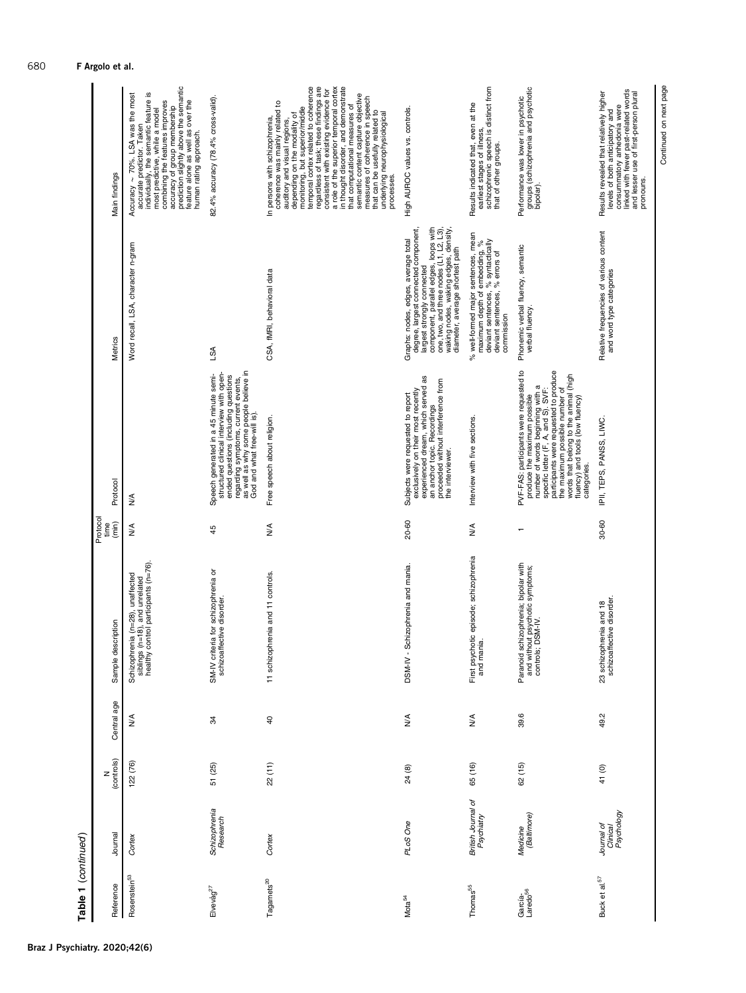| Table 1 (continued)             |                                      |            |                                  |                                                                                                            |                                             |                                                                                                                                                                                                                                                                                                                            |                                                                                                                                                                                                                                                                          |                                                                                                                                                                                                                                                                                                                                                                                                                                                                                                                                                                                |
|---------------------------------|--------------------------------------|------------|----------------------------------|------------------------------------------------------------------------------------------------------------|---------------------------------------------|----------------------------------------------------------------------------------------------------------------------------------------------------------------------------------------------------------------------------------------------------------------------------------------------------------------------------|--------------------------------------------------------------------------------------------------------------------------------------------------------------------------------------------------------------------------------------------------------------------------|--------------------------------------------------------------------------------------------------------------------------------------------------------------------------------------------------------------------------------------------------------------------------------------------------------------------------------------------------------------------------------------------------------------------------------------------------------------------------------------------------------------------------------------------------------------------------------|
| Reference                       | Journal                              | (controls) | Central age                      | Sample description                                                                                         | Protoco<br>$\widehat{\mathsf{min}}$<br>time | Protoco                                                                                                                                                                                                                                                                                                                    | Metrics                                                                                                                                                                                                                                                                  | Main findings                                                                                                                                                                                                                                                                                                                                                                                                                                                                                                                                                                  |
| Rosenstein <sup>53</sup>        | Cortex                               | 122 (76)   | $\frac{4}{5}$                    | Schizophrenia (n=28), unaffected<br>siblings (n=18), and unrelated<br>healthy control participants (n=76). | ≸                                           | ≸                                                                                                                                                                                                                                                                                                                          | Word recall, LSA, character n-gram                                                                                                                                                                                                                                       | accuracy of group membership<br>prediction slightly above the semantic<br><u>ي</u><br>Accuracy $\sim 70\%$ . LSA was the most<br>individually, the semantic feature<br>combining the features improves<br>feature alone as well as over the<br>human rating approach.<br>most predictive, while a model<br>accurate predictor. Taken                                                                                                                                                                                                                                           |
| $E$ vevå $g^{27}$               | Schizophrenia<br>Research            | 51 (25)    | æ                                | SM-IV criteria for schizophrenia or<br>schizoaffective disorder.                                           | 45                                          | regarding symptoms, current events,<br>as well as why some people believe in<br>God and what free-will is).<br>structured clinical interview with open-<br>Speech generated in a 45 minute semi-<br>ended questions (including questions                                                                                   | <b>LSA</b>                                                                                                                                                                                                                                                               | 82.4% accuracy (78.4% cross-valid)                                                                                                                                                                                                                                                                                                                                                                                                                                                                                                                                             |
| Tagamets <sup>20</sup>          | Cortex                               | 22(11)     | $\overline{a}$                   | 11 schizophrenia and 11 controls.                                                                          | ≸                                           | Free speech about religion.                                                                                                                                                                                                                                                                                                | CSA, fMRI, behavioral data                                                                                                                                                                                                                                               | regardless of task; these findings are<br>consistent with existing evidence for<br>a role of the superior temporal cortex<br>in thought disorder, and demonstrate<br>monitoring, but superior/middle<br>temporal cortex related to coherence<br>semantic content capture objective<br>measures of coherence in speech<br>coherence was mainly related to<br>that computational measures of<br>that can be usefully related to<br>depending on the modality of<br>underlying neurophysiological<br>In persons with schizophrenia,<br>auditory and visual regions.<br>processes. |
| Mota <sub>54</sub>              | PLoS One                             | 24 (8)     | $\stackrel{\triangleleft}{\geq}$ | DSM-IV - Schizophrenia and mania.                                                                          | 20-60                                       | experienced dream, which served as<br>proceeded without interference from<br>exclusively on their most recently<br>Subjects were requested to report<br>an anchor topic. Recordings<br>the interviewer.                                                                                                                    | component, parallel edges, loops with<br>one, two, and three nodes (L1, L2, L3),<br>waking nodes, waking edges, density,<br>degree, largest connected component,<br>Graphs: nodes, edges, average total<br>diameter, average shortest path<br>largest strongly connected | High AUROC values vs. controls.                                                                                                                                                                                                                                                                                                                                                                                                                                                                                                                                                |
| Thomas <sup>55</sup>            | British Journal of<br>Psychiatry     | 65 (16)    | $\frac{4}{2}$                    | First psychotic episode; schizophrenia<br>and mania.                                                       | ≸                                           | Interview with five sections.                                                                                                                                                                                                                                                                                              | % well-formed major sentences, mean<br>deviant sentences, % syntactically<br>deviant sentences, % errors of<br>maximum depth of embedding, %<br>commission                                                                                                               | schizophrenic speech is distinct from<br>that of other groups.<br>Results indicated that, even at the<br>earliest stages of illness,                                                                                                                                                                                                                                                                                                                                                                                                                                           |
| García-<br>Laredo <sup>56</sup> | Medicine<br>(Baltimore)              | 62 (15)    | 39.6                             | Paranoid schizophrenia; bipolar with<br>and without psychotic symptoms;<br>controls; DSM-IV.               |                                             | PVF-FAS: participants were requested to<br>number of words beginning with a<br>specific letter (F, A, and S). SVF:<br>participants were requested to produce<br>the maximum possible number of<br>words that belong to the animal (high<br>fluency) and tools (low fluency)<br>produce the maximum possible<br>categories. | Phonemic verbal fluency, semantic<br>verbal fluency                                                                                                                                                                                                                      | groups (schizophrenia and psychotic<br>Performance was lower in psychotic<br>bipolar).                                                                                                                                                                                                                                                                                                                                                                                                                                                                                         |
| Buck et al. <sup>57</sup>       | Clinical<br>Psychology<br>Journal of | 41 (0)     | 49.2                             | 23 schizophrenia and 18<br>schizoaffective disorder.                                                       | 30-60                                       | IPII, TEPS, PANSS, LIWC.                                                                                                                                                                                                                                                                                                   | Relative frequencies of various content<br>and word type categories                                                                                                                                                                                                      | linked with fewer past-related words<br>Results revealed that relatively higher<br>and lesser use of first-person plural<br>consummatory anhedonia were<br>levels of both anticipatory and<br>pronouns.                                                                                                                                                                                                                                                                                                                                                                        |

Continued on next page

Continued on next page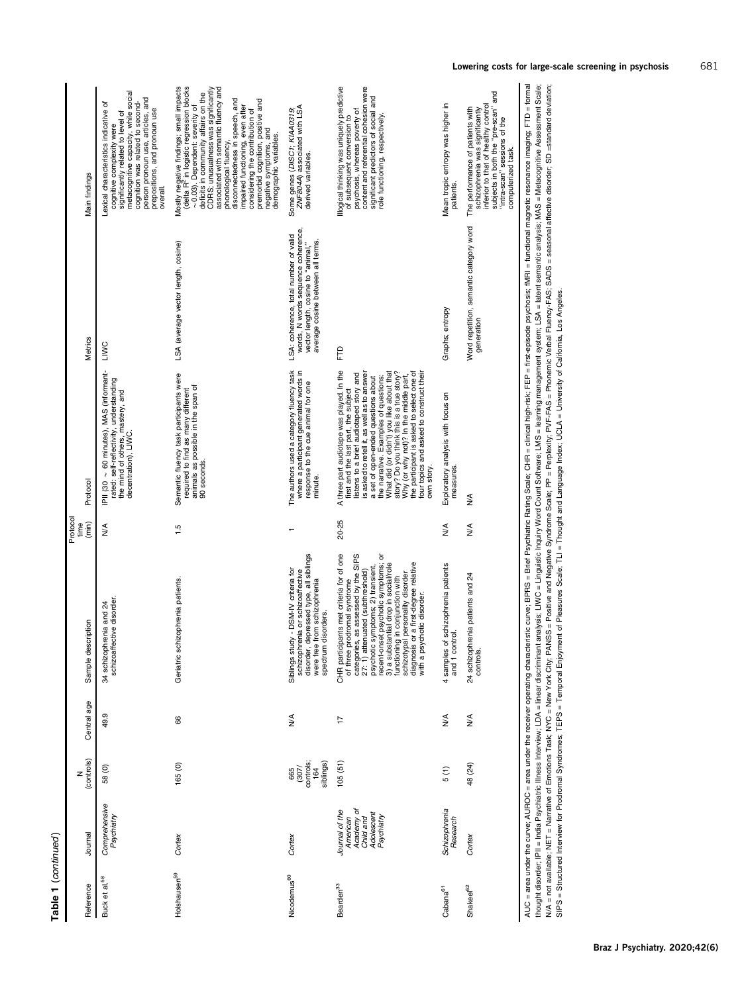| ٠<br>۹ |  |
|--------|--|
|        |  |
|        |  |
|        |  |
|        |  |

| Main findings             | metacognitive capacity, while social<br>person pronoun use, articles, and<br>cognition was related to second-<br>Lexical characteristics indicative of<br>prepositions, and pronoun use<br>significantly related to level of<br>cognitive complexity were<br>overall | Mostly negative findings; small impacts<br>(delta R <sup>2</sup> in logistic regression blocks<br>associated with semantic fluency and<br>CDRS; unusualness was significantly<br>deficits in community affairs on the<br>disconnectedness in speech, and<br>premorbid cognition, positive and<br>impaired functioning, even after<br>~0.03). Dependent: severity of<br>considering the contribution of<br>negative symptoms, and<br>demographic variables.<br>phonological fluency, | ZNF804A) associated with LSA<br>Some genes (DISC1; KIAA0319;<br>derived variables.                                                                                        | llogical thinking was uniquely predictive<br>content and referential cohesion were<br>significant predictors of social and<br>psychosis, whereas poverty of<br>role functioning, respectively.<br>of subsequent conversion to                                                                                                                                                                                                                                                                       | Mean tropic entropy was higher in<br>patients.        | subjects in both the "pre-scan" and<br>inferior to that of healthy control<br>The performance of patients with<br>schizophrenia was significantly<br>"intra-scan" sessions of the<br>computerized task. |
|---------------------------|----------------------------------------------------------------------------------------------------------------------------------------------------------------------------------------------------------------------------------------------------------------------|-------------------------------------------------------------------------------------------------------------------------------------------------------------------------------------------------------------------------------------------------------------------------------------------------------------------------------------------------------------------------------------------------------------------------------------------------------------------------------------|---------------------------------------------------------------------------------------------------------------------------------------------------------------------------|-----------------------------------------------------------------------------------------------------------------------------------------------------------------------------------------------------------------------------------------------------------------------------------------------------------------------------------------------------------------------------------------------------------------------------------------------------------------------------------------------------|-------------------------------------------------------|---------------------------------------------------------------------------------------------------------------------------------------------------------------------------------------------------------|
| Metrics                   | LIMC                                                                                                                                                                                                                                                                 | LSA (average vector length, cosine)                                                                                                                                                                                                                                                                                                                                                                                                                                                 | words, N words sequence coherence,<br>LSA: coherence, total number of valid<br>average cosine between all terms.<br>vector length, cosine to "animal,"                    | Ê                                                                                                                                                                                                                                                                                                                                                                                                                                                                                                   | Graphs; entropy                                       | Word repetition, semantic category word<br>generation                                                                                                                                                   |
| Protocol                  | IPII (30 ~ 60 minutes), MAS (informant-<br>rated: self-reflectivity, understanding<br>the mind of others, mastery, and<br>decentration), LIWC.                                                                                                                       | Semantic fluency task participants were<br>animals as possible in the span of<br>90 seconds.<br>required to find as many different                                                                                                                                                                                                                                                                                                                                                  | The authors used a category fluency task<br>where a participant generated words in<br>response to the cue animal for one<br>minute.                                       | A three part audiotape was played. In the<br>What did (or didn't) you like about that<br>story? Do you think this is a true story?<br>the participant is asked to select one of<br>is asked to retell it, as well as to answer<br>istens to a brief audiotaped story and<br>four topics and asked to construct their<br>Why (or why not)? In the middle part,<br>a set of open-ended questions about<br>the narrative. Examples of questions:<br>first and the last part, the subject<br>own story. | Exploratory analysis with focus on<br>measures        | AllAC – area the MIROC – area under the receiver onergating characteric Religion Religion Religion Callac CHR – Ninkode Nucleir FFD – first-anions in this magnetic resonation FTD – forma<br>≸         |
| Protocol<br>time<br>(min) | ≸                                                                                                                                                                                                                                                                    | 1.5                                                                                                                                                                                                                                                                                                                                                                                                                                                                                 |                                                                                                                                                                           | 20-25                                                                                                                                                                                                                                                                                                                                                                                                                                                                                               | ≸                                                     | ≸                                                                                                                                                                                                       |
| Sample description        | schizoaffective disorder<br>34 schizophrenia and 24                                                                                                                                                                                                                  | Geriatric schizophrenia patients.                                                                                                                                                                                                                                                                                                                                                                                                                                                   | disorder, depressed type, all siblings<br>Siblings study - DSM-IV criteria for<br>schizophrenia or schizoaffective<br>were free from schizophrenia<br>spectrum disorders. | CHR participants met criteria for of one<br>of three prodromal syndrome<br>recent-onset psychotic symptoms; or<br>3) a substantial drop in social/role<br>categories, as assessed by the SIPS<br>diagnosis or a first-degree relative<br>27: 1) attenuated (subthreshold)<br>psychotic symptoms; 2) transient,<br>schizotypal personality disorder<br>functioning in conjunction with<br>with a psychotic disorder.                                                                                 | 4 samples of schizophrenia patients<br>ē<br>and 1 com | renia patients and 24<br>24 schizoph<br>controls.                                                                                                                                                       |
| Central age               | 49.9                                                                                                                                                                                                                                                                 | 8                                                                                                                                                                                                                                                                                                                                                                                                                                                                                   | ≸                                                                                                                                                                         | $\overline{1}$                                                                                                                                                                                                                                                                                                                                                                                                                                                                                      | $\frac{4}{2}$                                         | $\frac{4}{2}$                                                                                                                                                                                           |
| (controls)<br>Z           | 58 (0)                                                                                                                                                                                                                                                               | 165(0)                                                                                                                                                                                                                                                                                                                                                                                                                                                                              | controls;<br>siblings)<br>(307)<br>164<br>665                                                                                                                             | 105(51)                                                                                                                                                                                                                                                                                                                                                                                                                                                                                             | 5(1)                                                  | 48 (24)                                                                                                                                                                                                 |
| Journal                   | Comprehensive<br>Psychiatry                                                                                                                                                                                                                                          | Cortex                                                                                                                                                                                                                                                                                                                                                                                                                                                                              | Cortex                                                                                                                                                                    | Academy of<br>Journal of the<br>Adolescent<br>Psychiatry<br>Child and<br>American                                                                                                                                                                                                                                                                                                                                                                                                                   | Schizophrenia<br>Research                             | Cortex                                                                                                                                                                                                  |
| Reference                 | Buck et al. <sup>58</sup>                                                                                                                                                                                                                                            | Holshausen <sup>59</sup>                                                                                                                                                                                                                                                                                                                                                                                                                                                            | Nicodemus <sup>60</sup>                                                                                                                                                   | Bearden <sup>33</sup>                                                                                                                                                                                                                                                                                                                                                                                                                                                                               | Cabana <sup>61</sup>                                  | Shakeel <sup>62</sup>                                                                                                                                                                                   |

AUC = area under the curve; AUROC = area under the receiver coverables charge. Brief Paychiating Scale; CHR = clinical high-risk; FEP = fret-episode psychosis; MRI = functional magnetic resonance imaging; FTD = formal<br>tho AUC = area under the curve; AUROC = area under the receiver operating chestricitios curve; BPRS = Brief Psychiatric Rating Scale; CHR = clinical high-risk; FEP = first-episode psychosis; fMRI = functional magnetic resonanc thought disorder, IPII = India Psychiatric Illness Interview; LDA = lineard discriminant analysis; LIWC = Linguistic Inquiry Word Count Software; LMS = learning management system; LSA = letent semantic analysis; MAS = Meta WA = not available; NET = Narrative of Emotions Task; NYC = New York; CNY; PANS = Positive Syndrome Scale; PP = Perplexity; PVF-FAS = Phonemic Verbal Fluency-FAS; SADS = seasonal affective disorder; SD =standard deviation; SIPS = Structured Interview for Prodromal Syndromes; TEPS = Temporal Enjoyment of Pleasures Scale; TLI = Thought and Language Index; UCLA = University of California, Los Angeles.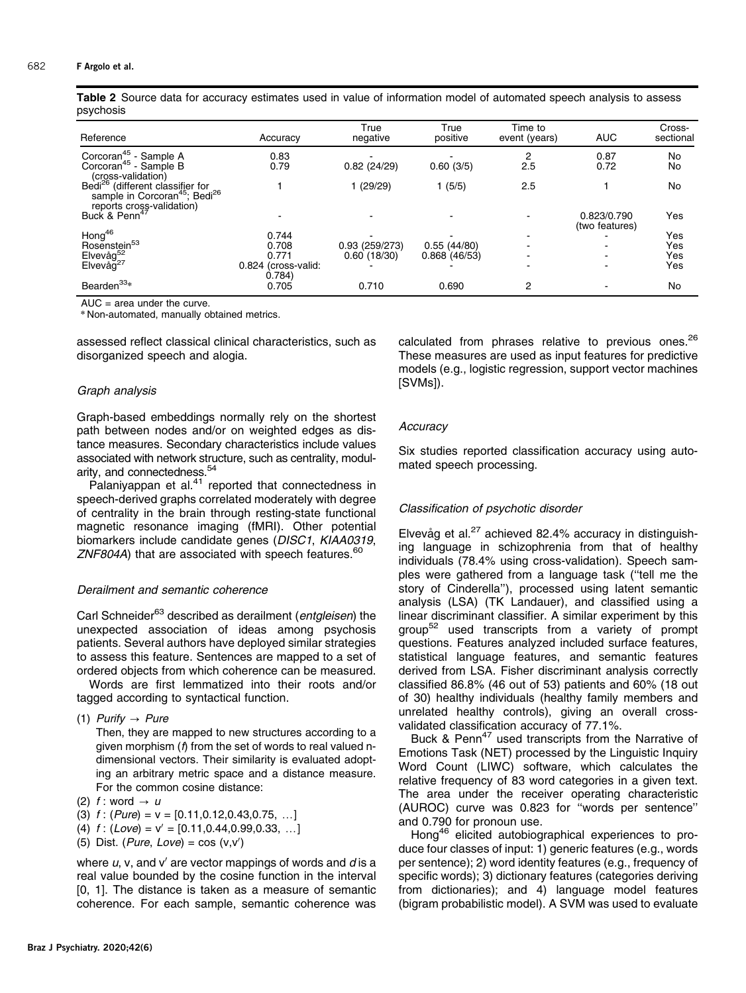<span id="page-9-0"></span>Table 2 Source data for accuracy estimates used in value of information model of automated speech analysis to assess psychosis

| Reference                                                                                             | Accuracy                      | True<br>negative | True<br>positive | Time to<br>event (years) | <b>AUC</b>                    | Cross-<br>sectional |
|-------------------------------------------------------------------------------------------------------|-------------------------------|------------------|------------------|--------------------------|-------------------------------|---------------------|
| Corcoran <sup>45</sup> - Sample A                                                                     | 0.83                          |                  |                  | 2                        | 0.87                          | No                  |
| Corcoran <sup>45</sup> - Sample B<br>(cross-validation)                                               | 0.79                          | 0.82(24/29)      | 0.60(3/5)        | 2.5                      | 0.72                          | No                  |
| Bedi <sup>26</sup> (different classifier for<br>sample in Corcoran <sup>45</sup> ; Bedi <sup>26</sup> |                               | (29/29)          | 1(5/5)           | 2.5                      |                               | No                  |
| reports cross-validation)<br>Buck & Penn <sup>47</sup>                                                |                               |                  |                  |                          | 0.823/0.790<br>(two features) | Yes                 |
| Hong <sup>46</sup>                                                                                    | 0.744                         |                  |                  |                          |                               | Yes                 |
|                                                                                                       | 0.708                         | 0.93(259/273)    | 0.55(44/80)      |                          |                               | Yes                 |
|                                                                                                       | 0.771                         | 0.60(18/30)      | 0.868(46/53)     |                          |                               | Yes                 |
| nong<br>Rosenstein <sup>53</sup><br>Elvevåg <sup>52</sup><br>Elvevåg <sup>27</sup>                    | 0.824 (cross-valid:<br>0.784) |                  |                  |                          |                               | Yes                 |
| Bearden <sup>33</sup> *                                                                               | 0.705                         | 0.710            | 0.690            | $\overline{2}$           |                               | No                  |

AUC  $=$  area under the curve.

\* Non-automated, manually obtained metrics.

assessed reflect classical clinical characteristics, such as disorganized speech and alogia.

#### Graph analysis

Graph-based embeddings normally rely on the shortest path between nodes and/or on weighted edges as distance measures. Secondary characteristics include values associated with network structure, such as centrality, modularity, and connectedness.<sup>54</sup>

Palaniyappan et al. $41$  reported that connectedness in speech-derived graphs correlated moderately with degree of centrality in the brain through resting-state functional magnetic resonance imaging (fMRI). Other potential biomarkers include candidate genes (DISC1, KIAA0319, ZNF804A) that are associated with speech features. $60$ 

#### Derailment and semantic coherence

Carl Schneider<sup>63</sup> described as derailment (*entgleisen*) the unexpected association of ideas among psychosis patients. Several authors have deployed similar strategies to assess this feature. Sentences are mapped to a set of ordered objects from which coherence can be measured.

Words are first lemmatized into their roots and/or tagged according to syntactical function.

(1) Purify  $\rightarrow$  Pure

Then, they are mapped to new structures according to a given morphism (f) from the set of words to real valued ndimensional vectors. Their similarity is evaluated adopting an arbitrary metric space and a distance measure. For the common cosine distance:

- (2) f : word  $\rightarrow u$
- (3)  $f: (Pure) = v = [0.11, 0.12, 0.43, 0.75, ...]$
- (4)  $f$  : (Love) = v' = [0.11,0.44,0.99,0.33, ...]
- (5) Dist. (*Pure*, Love) =  $cos(v, v')$

where  $u$ , v, and v' are vector mappings of words and  $d$  is a real value bounded by the cosine function in the interval [0, 1]. The distance is taken as a measure of semantic coherence. For each sample, semantic coherence was calculated from phrases relative to previous ones.<sup>[26](#page-12-0)</sup> These measures are used as input features for predictive models (e.g., logistic regression, support vector machines [SVMs]).

#### **Accuracy**

Six studies reported classification accuracy using automated speech processing.

# Classification of psychotic disorder

Elvevåg et al. $27$  achieved 82.4% accuracy in distinguishing language in schizophrenia from that of healthy individuals (78.4% using cross-validation). Speech samples were gathered from a language task (''tell me the story of Cinderella''), processed using latent semantic analysis (LSA) (TK Landauer), and classified using a linear discriminant classifier. A similar experiment by this grou[p52](#page-13-0) used transcripts from a variety of prompt questions. Features analyzed included surface features, statistical language features, and semantic features derived from LSA. Fisher discriminant analysis correctly classified 86.8% (46 out of 53) patients and 60% (18 out of 30) healthy individuals (healthy family members and unrelated healthy controls), giving an overall crossvalidated classification accuracy of 77.1%.

Buck & Penn<sup>47</sup> used transcripts from the Narrative of Emotions Task (NET) processed by the Linguistic Inquiry Word Count (LIWC) software, which calculates the relative frequency of 83 word categories in a given text. The area under the receiver operating characteristic (AUROC) curve was 0.823 for ''words per sentence'' and 0.790 for pronoun use.

Hong[46](#page-12-0) elicited autobiographical experiences to produce four classes of input: 1) generic features (e.g., words per sentence); 2) word identity features (e.g., frequency of specific words); 3) dictionary features (categories deriving from dictionaries); and 4) language model features (bigram probabilistic model). A SVM was used to evaluate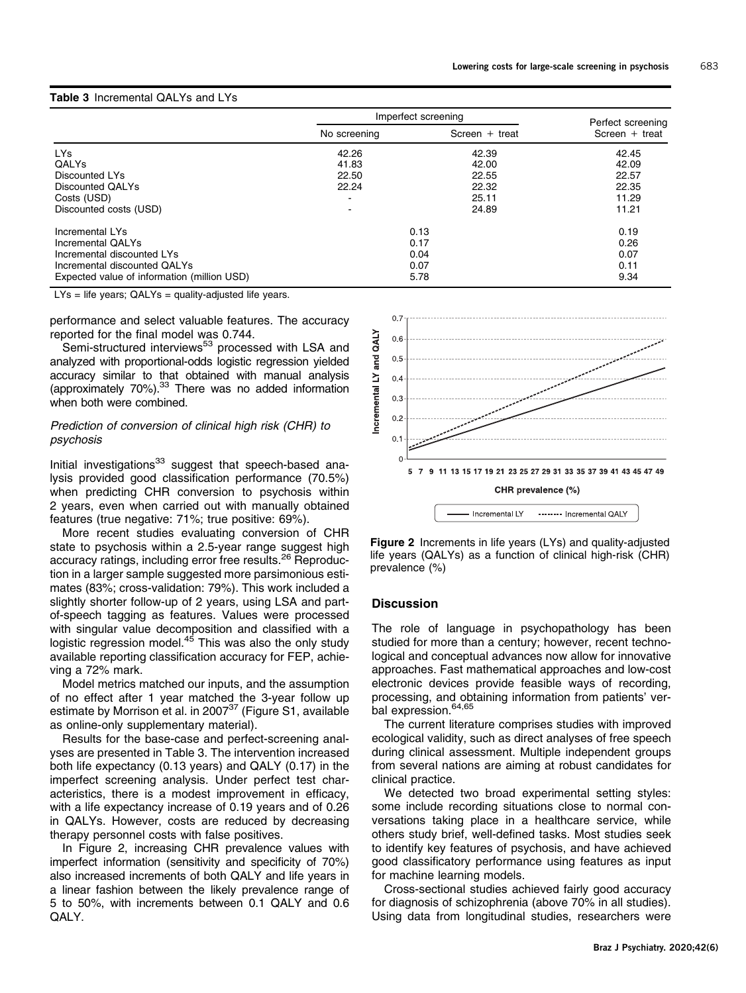# Table 3 Incremental QALYs and LYs

|                                             |                          | Imperfect screening | Perfect screening |
|---------------------------------------------|--------------------------|---------------------|-------------------|
|                                             | No screening             | Screen $+$ treat    | Screen $+$ treat  |
| LYs                                         | 42.26                    | 42.39               | 42.45             |
| QALYS                                       | 41.83                    | 42.00               | 42.09             |
| Discounted LYs                              | 22.50                    | 22.55               | 22.57             |
| Discounted OALYs                            | 22.24                    | 22.32               | 22.35             |
| Costs (USD)                                 | $\overline{\phantom{a}}$ | 25.11               | 11.29             |
| Discounted costs (USD)                      |                          | 24.89               | 11.21             |
| Incremental LYs                             |                          | 0.13                | 0.19              |
| Incremental QALYs                           |                          | 0.17                | 0.26              |
| Incremental discounted LYs                  |                          | 0.04                | 0.07              |
| Incremental discounted OALYs                |                          | 0.07                | 0.11              |
| Expected value of information (million USD) |                          | 5.78                | 9.34              |

LYs = life years; QALYs = quality-adjusted life years.

performance and select valuable features. The accuracy reported for the final model was 0.744.

Semi-structured interviews<sup>[53](#page-13-0)</sup> processed with LSA and analyzed with proportional-odds logistic regression yielded accuracy similar to that obtained with manual analysis (approximately 70%).[33](#page-12-0) There was no added information when both were combined.

### Prediction of conversion of clinical high risk (CHR) to psychosis

Initial investigations $33$  suggest that speech-based analysis provided good classification performance (70.5%) when predicting CHR conversion to psychosis within 2 years, even when carried out with manually obtained features (true negative: 71%; true positive: 69%).

More recent studies evaluating conversion of CHR state to psychosis within a 2.5-year range suggest high accuracy ratings, including error free results.<sup>[26](#page-12-0)</sup> Reproduction in a larger sample suggested more parsimonious estimates (83%; cross-validation: 79%). This work included a slightly shorter follow-up of 2 years, using LSA and partof-speech tagging as features. Values were processed with singular value decomposition and classified with a logistic regression model.<sup>[45](#page-12-0)</sup> This was also the only study available reporting classification accuracy for FEP, achieving a 72% mark.

Model metrics matched our inputs, and the assumption of no effect after 1 year matched the 3-year follow up estimate by Morrison et al. in 2007<sup>[37](#page-12-0)</sup> (Figure S1, available as online-only supplementary material).

Results for the base-case and perfect-screening analyses are presented in Table 3. The intervention increased both life expectancy (0.13 years) and QALY (0.17) in the imperfect screening analysis. Under perfect test characteristics, there is a modest improvement in efficacy, with a life expectancy increase of 0.19 years and of 0.26 in QALYs. However, costs are reduced by decreasing therapy personnel costs with false positives.

In Figure 2, increasing CHR prevalence values with imperfect information (sensitivity and specificity of 70%) also increased increments of both QALY and life years in a linear fashion between the likely prevalence range of 5 to 50%, with increments between 0.1 QALY and 0.6 QALY.



Figure 2 Increments in life years (LYs) and quality-adjusted life years (QALYs) as a function of clinical high-risk (CHR) prevalence (%)

# **Discussion**

The role of language in psychopathology has been studied for more than a century; however, recent technological and conceptual advances now allow for innovative approaches. Fast mathematical approaches and low-cost electronic devices provide feasible ways of recording, processing, and obtaining information from patients' ver-bal expression.<sup>[64,65](#page-13-0)</sup>

The current literature comprises studies with improved ecological validity, such as direct analyses of free speech during clinical assessment. Multiple independent groups from several nations are aiming at robust candidates for clinical practice.

We detected two broad experimental setting styles: some include recording situations close to normal conversations taking place in a healthcare service, while others study brief, well-defined tasks. Most studies seek to identify key features of psychosis, and have achieved good classificatory performance using features as input for machine learning models.

Cross-sectional studies achieved fairly good accuracy for diagnosis of schizophrenia (above 70% in all studies). Using data from longitudinal studies, researchers were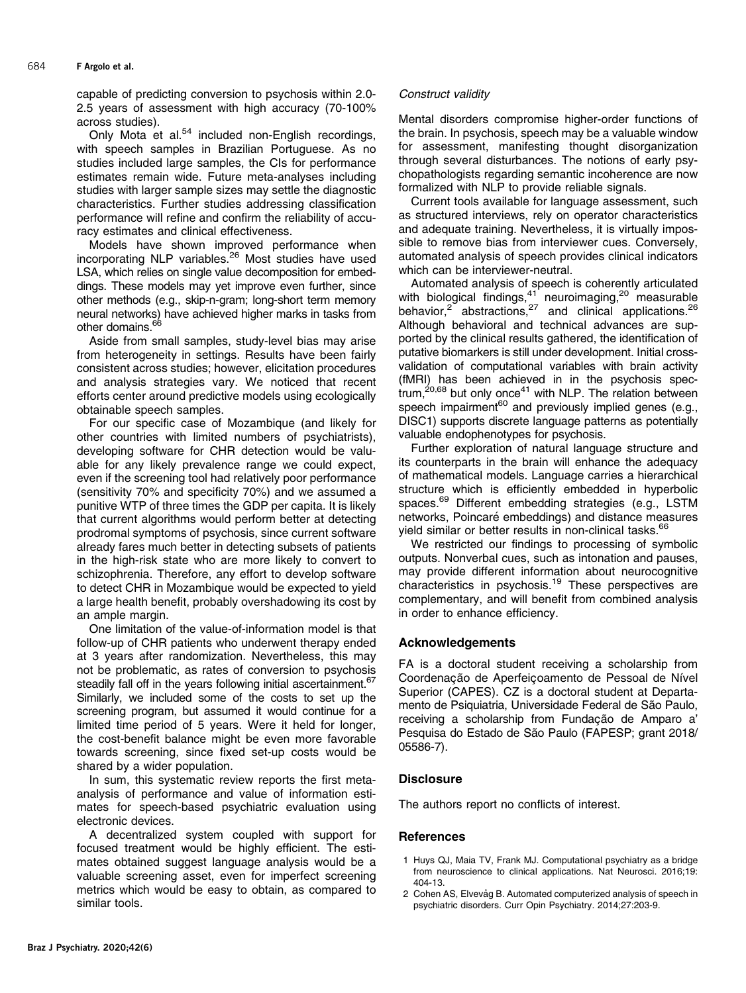<span id="page-11-0"></span>capable of predicting conversion to psychosis within 2.0- 2.5 years of assessment with high accuracy (70-100% across studies).

Only Mota  $e^{i\theta t}$  al.<sup>54</sup> included non-English recordings, with speech samples in Brazilian Portuguese. As no studies included large samples, the CIs for performance estimates remain wide. Future meta-analyses including studies with larger sample sizes may settle the diagnostic characteristics. Further studies addressing classification performance will refine and confirm the reliability of accuracy estimates and clinical effectiveness.

Models have shown improved performance when incorporating NLP variables.<sup>[26](#page-12-0)</sup> Most studies have used LSA, which relies on single value decomposition for embeddings. These models may yet improve even further, since other methods (e.g., skip-n-gram; long-short term memory neural networks) have achieved higher marks in tasks from other domains.<sup>6</sup>

Aside from small samples, study-level bias may arise from heterogeneity in settings. Results have been fairly consistent across studies; however, elicitation procedures and analysis strategies vary. We noticed that recent efforts center around predictive models using ecologically obtainable speech samples.

For our specific case of Mozambique (and likely for other countries with limited numbers of psychiatrists), developing software for CHR detection would be valuable for any likely prevalence range we could expect, even if the screening tool had relatively poor performance (sensitivity 70% and specificity 70%) and we assumed a punitive WTP of three times the GDP per capita. It is likely that current algorithms would perform better at detecting prodromal symptoms of psychosis, since current software already fares much better in detecting subsets of patients in the high-risk state who are more likely to convert to schizophrenia. Therefore, any effort to develop software to detect CHR in Mozambique would be expected to yield a large health benefit, probably overshadowing its cost by an ample margin.

One limitation of the value-of-information model is that follow-up of CHR patients who underwent therapy ended at 3 years after randomization. Nevertheless, this may not be problematic, as rates of conversion to psychosis steadily fall off in the years following initial ascertainment.<sup>[67](#page-13-0)</sup> Similarly, we included some of the costs to set up the screening program, but assumed it would continue for a limited time period of 5 years. Were it held for longer, the cost-benefit balance might be even more favorable towards screening, since fixed set-up costs would be shared by a wider population.

In sum, this systematic review reports the first metaanalysis of performance and value of information estimates for speech-based psychiatric evaluation using electronic devices.

A decentralized system coupled with support for focused treatment would be highly efficient. The estimates obtained suggest language analysis would be a valuable screening asset, even for imperfect screening metrics which would be easy to obtain, as compared to similar tools.

Mental disorders compromise higher-order functions of the brain. In psychosis, speech may be a valuable window for assessment, manifesting thought disorganization through several disturbances. The notions of early psychopathologists regarding semantic incoherence are now formalized with NLP to provide reliable signals.

Current tools available for language assessment, such as structured interviews, rely on operator characteristics and adequate training. Nevertheless, it is virtually impossible to remove bias from interviewer cues. Conversely, automated analysis of speech provides clinical indicators which can be interviewer-neutral.

Automated analysis of speech is coherently articulated with biological findings,<sup>[41](#page-12-0)</sup> neuroimaging,<sup>20</sup> measurable behavior,<sup>2</sup> abstractions,<sup>[27](#page-12-0)</sup> and clinical applications.<sup>[26](#page-12-0)</sup> Although behavioral and technical advances are supported by the clinical results gathered, the identification of putative biomarkers is still under development. Initial crossvalidation of computational variables with brain activity (fMRI) has been achieved in in the psychosis spec $t$ rum,<sup>20[,68](#page-13-0)</sup> but only once<sup>[41](#page-12-0)</sup> with NLP. The relation between speech impairment $60$  and previously implied genes (e.g., DISC1) supports discrete language patterns as potentially valuable endophenotypes for psychosis.

Further exploration of natural language structure and its counterparts in the brain will enhance the adequacy of mathematical models. Language carries a hierarchical structure which is efficiently embedded in hyperbolic spaces.<sup>[69](#page-13-0)</sup> Different embedding strategies (e.g., LSTM networks, Poincaré embeddings) and distance measures yield similar or better results in non-clinical tasks.<sup>66</sup>

We restricted our findings to processing of symbolic outputs. Nonverbal cues, such as intonation and pauses, may provide different information about neurocognitive characteristics in psychosis.[19](#page-12-0) These perspectives are complementary, and will benefit from combined analysis in order to enhance efficiency.

# Acknowledgements

FA is a doctoral student receiving a scholarship from Coordenacão de Aperfeicoamento de Pessoal de Nível Superior (CAPES). CZ is a doctoral student at Departamento de Psiquiatria, Universidade Federal de São Paulo, receiving a scholarship from Fundação de Amparo a' Pesquisa do Estado de São Paulo (FAPESP; grant 2018/ 05586-7).

# **Disclosure**

The authors report no conflicts of interest.

# **References**

- 1 Huys QJ, Maia TV, Frank MJ. Computational psychiatry as a bridge from neuroscience to clinical applications. Nat Neurosci. 2016;19: 404-13.
- 2 Cohen AS, Elvevåg B. Automated computerized analysis of speech in psychiatric disorders. Curr Opin Psychiatry. 2014;27:203-9.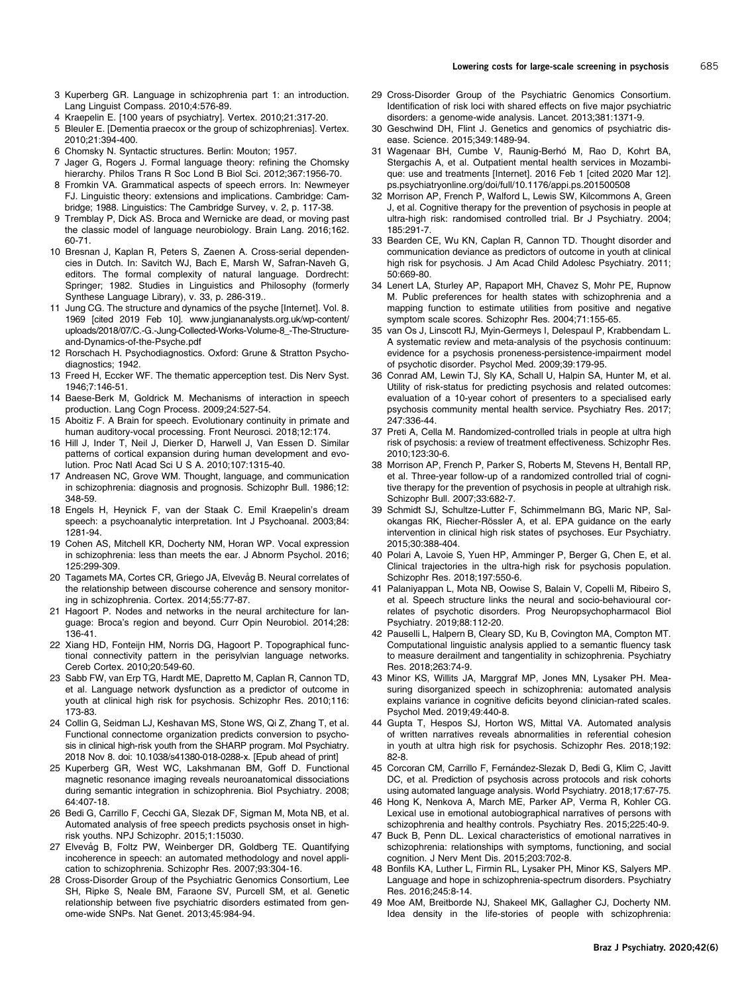- <span id="page-12-0"></span>3 Kuperberg GR. Language in schizophrenia part 1: an introduction. Lang Linguist Compass. 2010;4:576-89.
- 4 Kraepelin E. [100 years of psychiatry]. Vertex. 2010;21:317-20.
- 5 Bleuler E. [Dementia praecox or the group of schizophrenias]. Vertex. 2010;21:394-400.
- 6 Chomsky N. Syntactic structures. Berlin: Mouton; 1957.
- 7 Jager G, Rogers J. Formal language theory: refining the Chomsky hierarchy. Philos Trans R Soc Lond B Biol Sci. 2012;367:1956-70.
- 8 Fromkin VA. Grammatical aspects of speech errors. In: Newmeyer FJ. Linguistic theory: extensions and implications. Cambridge: Cambridge; 1988. Linguistics: The Cambridge Survey, v. 2, p. 117-38.
- 9 Tremblay P, Dick AS. Broca and Wernicke are dead, or moving past the classic model of language neurobiology. Brain Lang. 2016;162. 60-71.
- 10 Bresnan J, Kaplan R, Peters S, Zaenen A. Cross-serial dependencies in Dutch. In: Savitch WJ, Bach E, Marsh W, Safran-Naveh G, editors. The formal complexity of natural language. Dordrecht: Springer; 1982. Studies in Linguistics and Philosophy (formerly Synthese Language Library), v. 33, p. 286-319..
- 11 Jung CG. The structure and dynamics of the psyche [Internet]. Vol. 8. 1969 [cited 2019 Feb 10]. [www.jungiananalysts.org.uk/wp-content/](www.jungiananalysts.org.uk/wp-content/uploads/2018/07/C.-G.-Jung-Collected-Works-Volume-8_-The-Structure-and-Dynamics-of-the-Psyche.pdf) [uploads/2018/07/C.-G.-Jung-Collected-Works-Volume-8\\_-The-Structure](www.jungiananalysts.org.uk/wp-content/uploads/2018/07/C.-G.-Jung-Collected-Works-Volume-8_-The-Structure-and-Dynamics-of-the-Psyche.pdf)[and-Dynamics-of-the-Psyche.pdf](www.jungiananalysts.org.uk/wp-content/uploads/2018/07/C.-G.-Jung-Collected-Works-Volume-8_-The-Structure-and-Dynamics-of-the-Psyche.pdf)
- 12 Rorschach H. Psychodiagnostics. Oxford: Grune & Stratton Psychodiagnostics; 1942.
- 13 Freed H, Eccker WF. The thematic apperception test. Dis Nerv Syst. 1946;7:146-51.
- 14 Baese-Berk M, Goldrick M. Mechanisms of interaction in speech production. Lang Cogn Process. 2009;24:527-54.
- 15 Aboitiz F. A Brain for speech. Evolutionary continuity in primate and human auditory-vocal processing. Front Neurosci. 2018;12:174.
- 16 Hill J, Inder T, Neil J, Dierker D, Harwell J, Van Essen D. Similar patterns of cortical expansion during human development and evolution. Proc Natl Acad Sci U S A. 2010;107:1315-40.
- 17 Andreasen NC, Grove WM. Thought, language, and communication in schizophrenia: diagnosis and prognosis. Schizophr Bull. 1986;12: 348-59.
- 18 Engels H, Heynick F, van der Staak C. Emil Kraepelin's dream speech: a psychoanalytic interpretation. Int J Psychoanal. 2003;84: 1281-94.
- 19 Cohen AS, Mitchell KR, Docherty NM, Horan WP. Vocal expression in schizophrenia: less than meets the ear. J Abnorm Psychol. 2016; 125:299-309.
- 20 Tagamets MA, Cortes CR, Griego JA, Elvevåg B. Neural correlates of the relationship between discourse coherence and sensory monitoring in schizophrenia. Cortex. 2014;55:77-87.
- 21 Hagoort P. Nodes and networks in the neural architecture for language: Broca's region and beyond. Curr Opin Neurobiol. 2014;28: 136-41.
- 22 Xiang HD, Fonteijn HM, Norris DG, Hagoort P. Topographical functional connectivity pattern in the perisylvian language networks. Cereb Cortex. 2010;20:549-60.
- 23 Sabb FW, van Erp TG, Hardt ME, Dapretto M, Caplan R, Cannon TD, et al. Language network dysfunction as a predictor of outcome in youth at clinical high risk for psychosis. Schizophr Res. 2010;116: 173-83.
- 24 Collin G, Seidman LJ, Keshavan MS, Stone WS, Qi Z, Zhang T, et al. Functional connectome organization predicts conversion to psychosis in clinical high-risk youth from the SHARP program. Mol Psychiatry. 2018 Nov 8. doi: 10.1038/s41380-018-0288-x. [Epub ahead of print]
- 25 Kuperberg GR, West WC, Lakshmanan BM, Goff D. Functional magnetic resonance imaging reveals neuroanatomical dissociations during semantic integration in schizophrenia. Biol Psychiatry. 2008; 64:407-18.
- 26 Bedi G, Carrillo F, Cecchi GA, Slezak DF, Sigman M, Mota NB, et al. Automated analysis of free speech predicts psychosis onset in highrisk youths. NPJ Schizophr. 2015;1:15030.
- 27 Elvevåg B, Foltz PW, Weinberger DR, Goldberg TE. Quantifying incoherence in speech: an automated methodology and novel application to schizophrenia. Schizophr Res. 2007;93:304-16.
- 28 Cross-Disorder Group of the Psychiatric Genomics Consortium, Lee SH, Ripke S, Neale BM, Faraone SV, Purcell SM, et al. Genetic relationship between five psychiatric disorders estimated from genome-wide SNPs. Nat Genet. 2013;45:984-94.
- 29 Cross-Disorder Group of the Psychiatric Genomics Consortium. Identification of risk loci with shared effects on five major psychiatric disorders: a genome-wide analysis. Lancet. 2013;381:1371-9.
- 30 Geschwind DH, Flint J. Genetics and genomics of psychiatric disease. Science. 2015;349:1489-94.
- Wagenaar BH, Cumbe V, Raunig-Berhó M, Rao D, Kohrt BA, Stergachis A, et al. Outpatient mental health services in Mozambique: use and treatments [Internet]. 2016 Feb 1 [cited 2020 Mar 12]. ps.psychiatryonline.org/doi/full/10.1176/appi.ps.201500508
- 32 Morrison AP, French P, Walford L, Lewis SW, Kilcommons A, Green J, et al. Cognitive therapy for the prevention of psychosis in people at ultra-high risk: randomised controlled trial. Br J Psychiatry. 2004; 185:291-7.
- 33 Bearden CE, Wu KN, Caplan R, Cannon TD. Thought disorder and communication deviance as predictors of outcome in youth at clinical high risk for psychosis. J Am Acad Child Adolesc Psychiatry. 2011; 50:669-80.
- 34 Lenert LA, Sturley AP, Rapaport MH, Chavez S, Mohr PE, Rupnow M. Public preferences for health states with schizophrenia and a mapping function to estimate utilities from positive and negative symptom scale scores. Schizophr Res. 2004;71:155-65.
- 35 van Os J, Linscott RJ, Myin-Germeys I, Delespaul P, Krabbendam L. A systematic review and meta-analysis of the psychosis continuum: evidence for a psychosis proneness-persistence-impairment model of psychotic disorder. Psychol Med. 2009;39:179-95.
- 36 Conrad AM, Lewin TJ, Sly KA, Schall U, Halpin SA, Hunter M, et al. Utility of risk-status for predicting psychosis and related outcomes: evaluation of a 10-year cohort of presenters to a specialised early psychosis community mental health service. Psychiatry Res. 2017; 247:336-44.
- 37 Preti A, Cella M. Randomized-controlled trials in people at ultra high risk of psychosis: a review of treatment effectiveness. Schizophr Res. 2010;123:30-6.
- 38 Morrison AP, French P, Parker S, Roberts M, Stevens H, Bentall RP, et al. Three-year follow-up of a randomized controlled trial of cognitive therapy for the prevention of psychosis in people at ultrahigh risk. Schizophr Bull. 2007;33:682-7.
- 39 Schmidt SJ, Schultze-Lutter F, Schimmelmann BG, Maric NP, Salokangas RK, Riecher-Rössler A, et al. EPA guidance on the early intervention in clinical high risk states of psychoses. Eur Psychiatry. 2015;30:388-404.
- 40 Polari A, Lavoie S, Yuen HP, Amminger P, Berger G, Chen E, et al. Clinical trajectories in the ultra-high risk for psychosis population. Schizophr Res. 2018;197:550-6.
- 41 Palaniyappan L, Mota NB, Oowise S, Balain V, Copelli M, Ribeiro S, et al. Speech structure links the neural and socio-behavioural correlates of psychotic disorders. Prog Neuropsychopharmacol Biol Psychiatry. 2019;88:112-20.
- 42 Pauselli L, Halpern B, Cleary SD, Ku B, Covington MA, Compton MT. Computational linguistic analysis applied to a semantic fluency task to measure derailment and tangentiality in schizophrenia. Psychiatry Res. 2018;263:74-9.
- 43 Minor KS, Willits JA, Marggraf MP, Jones MN, Lysaker PH. Measuring disorganized speech in schizophrenia: automated analysis explains variance in cognitive deficits beyond clinician-rated scales. Psychol Med. 2019;49:440-8.
- 44 Gupta T, Hespos SJ, Horton WS, Mittal VA. Automated analysis of written narratives reveals abnormalities in referential cohesion in youth at ultra high risk for psychosis. Schizophr Res. 2018;192: 82-8.
- 45 Corcoran CM, Carrillo F, Fernández-Slezak D, Bedi G, Klim C, Javitt DC, et al. Prediction of psychosis across protocols and risk cohorts using automated language analysis. World Psychiatry. 2018;17:67-75.
- 46 Hong K, Nenkova A, March ME, Parker AP, Verma R, Kohler CG. Lexical use in emotional autobiographical narratives of persons with schizophrenia and healthy controls. Psychiatry Res. 2015;225:40-9.
- 47 Buck B, Penn DL. Lexical characteristics of emotional narratives in schizophrenia: relationships with symptoms, functioning, and social cognition. J Nerv Ment Dis. 2015;203:702-8.
- 48 Bonfils KA, Luther L, Firmin RL, Lysaker PH, Minor KS, Salyers MP. Language and hope in schizophrenia-spectrum disorders. Psychiatry Res. 2016;245:8-14.
- 49 Moe AM, Breitborde NJ, Shakeel MK, Gallagher CJ, Docherty NM. Idea density in the life-stories of people with schizophrenia: